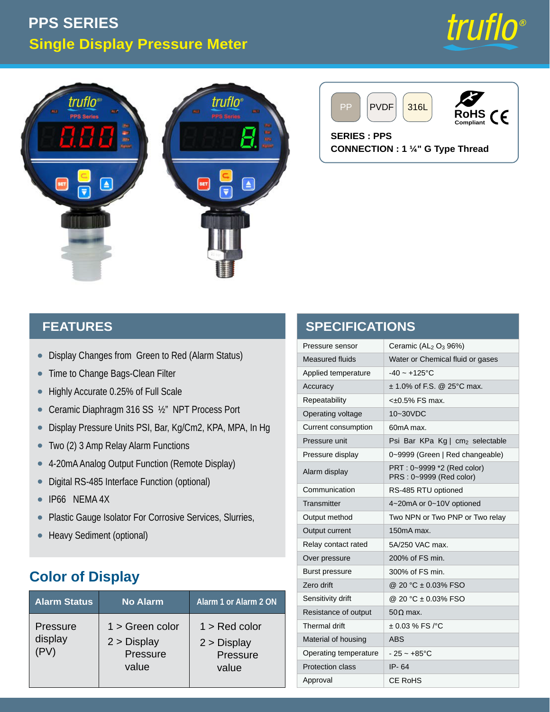# **Single Display Pressure Meter PPS SERIES**







**CONNECTION : 1 ¼" G Type Thread**

#### **FEATURES**

- Display Changes from Green to Red (Alarm Status) •
- Time to Change Bags-Clean Filter  $\bullet$
- Highly Accurate 0.25% of Full Scale •
- Ceramic Diaphragm 316 SS ½" NPT Process Port •
- Display Pressure Units PSI, Bar, Kg/Cm2, KPA, MPA, In Hg •
- Two (2) 3 Amp Relay Alarm Functions •
- 4-20mA Analog Output Function (Remote Display) •
- Digital RS-485 Interface Function (optional) •
- IP66 NEMA 4X •
- Plastic Gauge Isolator For Corrosive Services, Slurries, •
- Heavy Sediment (optional)

### **Color of Display**

| <b>Alarm Status</b>               | <b>No Alarm</b>                                         | Alarm 1 or Alarm 2 ON                               |
|-----------------------------------|---------------------------------------------------------|-----------------------------------------------------|
| <b>Pressure</b><br>display<br>PV) | $1 >$ Green color<br>$2 >$ Display<br>Pressure<br>value | 1 > Red color<br>$2 >$ Display<br>Pressure<br>value |

| <b>SPECIFICATIONS</b>   |                                                        |  |  |  |  |
|-------------------------|--------------------------------------------------------|--|--|--|--|
| Pressure sensor         | Ceramic $(AL_2 O_3 96%)$                               |  |  |  |  |
| <b>Measured fluids</b>  | Water or Chemical fluid or gases                       |  |  |  |  |
| Applied temperature     | $-40 - +125$ °C                                        |  |  |  |  |
| Accuracy                | $\pm$ 1.0% of F.S. @ 25°C max.                         |  |  |  |  |
| Repeatability           | $<\pm 0.5\%$ FS max.                                   |  |  |  |  |
| Operating voltage       | 10~30VDC                                               |  |  |  |  |
| Current consumption     | 60mA max.                                              |  |  |  |  |
| Pressure unit           | Psi Bar KPa Kg   cm2 selectable                        |  |  |  |  |
| Pressure display        | 0~9999 (Green   Red changeable)                        |  |  |  |  |
| Alarm display           | PRT : 0~9999 *2 (Red color)<br>PRS: 0~9999 (Red color) |  |  |  |  |
| Communication           | RS-485 RTU optioned                                    |  |  |  |  |
| Transmitter             | 4~20mA or 0~10V optioned                               |  |  |  |  |
| Output method           | Two NPN or Two PNP or Two relay                        |  |  |  |  |
| Output current          | 150mA max.                                             |  |  |  |  |
| Relay contact rated     | 5A/250 VAC max.                                        |  |  |  |  |
| Over pressure           | 200% of FS min.                                        |  |  |  |  |
| <b>Burst pressure</b>   | 300% of FS min.                                        |  |  |  |  |
| Zero drift              | @ 20 °C ± 0.03% FSO                                    |  |  |  |  |
| Sensitivity drift       | @ 20 °C ± 0.03% FSO                                    |  |  |  |  |
| Resistance of output    | $50\Omega$ max.                                        |  |  |  |  |
| Thermal drift           | $\pm$ 0.03 % FS /°C                                    |  |  |  |  |
| Material of housing     | <b>ABS</b>                                             |  |  |  |  |
| Operating temperature   | - 25 ~ +85°C                                           |  |  |  |  |
| <b>Protection class</b> | IP-64                                                  |  |  |  |  |
| Approval                | <b>CE RoHS</b>                                         |  |  |  |  |